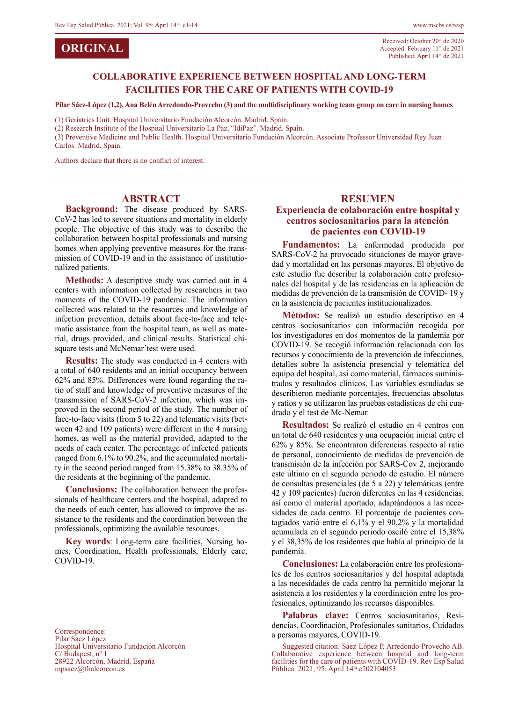**ORIGINAL**

### **COLLABORATIVE EXPERIENCE BETWEEN HOSPITAL AND LONG-TERM FACILITIES FOR THE CARE OF PATIENTS WITH COVID-19**

**Pilar Sáez-López (1,2), Ana Belén Arredondo-Provecho (3) and the multidisciplinary working team group on care in nursing homes**

(1) Geriatrics Unit. Hospital Universitario Fundación Alcorcón. Madrid. Spain.

(2) Research Institute of the Hospital Universitario La Paz, "IdiPaz". Madrid. Spain.

(3) Preventive Medicine and Public Health. Hospital Universitario Fundación Alcorcón. Associate Professor Universidad Rey Juan

Carlos. Madrid. Spain.

Authors declare that there is no conflict of interest.

#### **ABSTRACT**

**Background:** The disease produced by SARS-CoV-2 has led to severe situations and mortality in elderly people. The objective of this study was to describe the collaboration between hospital professionals and nursing homes when applying preventive measures for the transmission of COVID-19 and in the assistance of institutionalized patients.

**Methods:** A descriptive study was carried out in 4 centers with information collected by researchers in two moments of the COVID-19 pandemic. The information collected was related to the resources and knowledge of infection prevention, details about face-to-face and telematic assistance from the hospital team, as well as material, drugs provided, and clinical results. Statistical chisquare tests and McNemar'test were used.

**Results:** The study was conducted in 4 centers with a total of 640 residents and an initial occupancy between 62% and 85%. Differences were found regarding the ratio of staff and knowledge of preventive measures of the transmission of SARS-CoV-2 infection, which was improved in the second period of the study. The number of face-to-face visits (from 5 to 22) and telematic visits (between 42 and 109 patients) were different in the 4 nursing homes, as well as the material provided, adapted to the needs of each center. The percentage of infected patients ranged from 6.1% to 90.2%, and the accumulated mortality in the second period ranged from 15.38% to 38.35% of the residents at the beginning of the pandemic.

**Conclusions:** The collaboration between the professionals of healthcare centers and the hospital, adapted to the needs of each center, has allowed to improve the assistance to the residents and the coordination between the professionals, optimizing the available resources.

**Key words**: Long-term care facilities, Nursing homes, Coordination, Health professionals, Elderly care, COVID-19.

Correspondence: Pilar Sáez López Hospital Universitario Fundación Alcorcón C/ Budapest, nº 1 28922 Alcorcón, Madrid, España mpsaez@fhalcorcon.es

#### **RESUMEN Experiencia de colaboración entre hospital y centros sociosanitarios para la atención de pacientes con COVID-19**

**Fundamentos:** La enfermedad producida por SARS-CoV-2 ha provocado situaciones de mayor gravedad y mortalidad en las personas mayores. El objetivo de este estudio fue describir la colaboración entre profesionales del hospital y de las residencias en la aplicación de medidas de prevención de la transmisión de COVID- 19 y en la asistencia de pacientes institucionalizados.

**Métodos:** Se realizó un estudio descriptivo en 4 centros sociosanitarios con información recogida por los investigadores en dos momentos de la pandemia por COVID-19. Se recogió información relacionada con los recursos y conocimiento de la prevención de infecciones, detalles sobre la asistencia presencial y telemática del equipo del hospital, así como material, fármacos suministrados y resultados clínicos. Las variables estudiadas se describieron mediante porcentajes, frecuencias absolutas y ratios y se utilizaron las pruebas estadísticas de chi cuadrado y el test de Mc-Nemar.

**Resultados:** Se realizó el estudio en 4 centros con un total de 640 residentes y una ocupación inicial entre el 62% y 85%. Se encontraron diferencias respecto al ratio de personal, conocimiento de medidas de prevención de transmisión de la infección por SARS-Cov 2, mejorando este último en el segundo periodo de estudio. El número de consultas presenciales (de 5 a 22) y telemáticas (entre 42 y 109 pacientes) fueron diferentes en las 4 residencias, así como el material aportado, adaptándonos a las necesidades de cada centro. El porcentaje de pacientes contagiados varió entre el 6,1% y el 90,2% y la mortalidad acumulada en el segundo periodo osciló entre el 15,38% y el 38,35% de los residentes que había al principio de la pandemia.

**Conclusiones:** La colaboración entre los profesionales de los centros sociosanitarios y del hospital adaptada a las necesidades de cada centro ha permitido mejorar la asistencia a los residentes y la coordinación entre los profesionales, optimizando los recursos disponibles.

**Palabras clave:** Centros sociosanitarios, Residencias, Coordinación, Profesionales sanitarios, Cuidados a personas mayores, COVID-19.

Suggested citation: Sáez-López P, Arredondo-Provecho AB. Collaborative experience between hospital and long-term facilities for the care of patients with COVID-19. Rev Esp Salud Pública. 2021; 95: April 14<sup>th</sup> e202104053.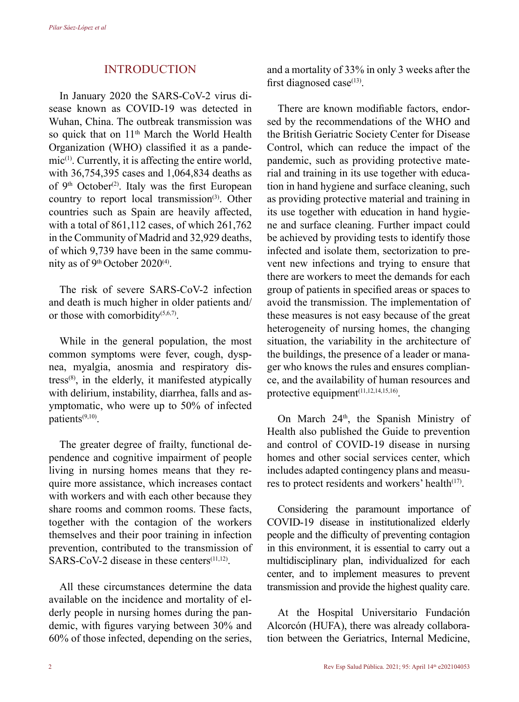## INTRODUCTION

In January 2020 the SARS-CoV-2 virus disease known as COVID-19 was detected in Wuhan, China. The outbreak transmission was so quick that on 11<sup>th</sup> March the World Health Organization (WHO) classified it as a pande $mic^{(1)}$ . Currently, it is affecting the entire world, with 36,754,395 cases and 1,064,834 deaths as of  $9<sup>th</sup> October<sup>(2)</sup>$ . Italy was the first European country to report local transmission<sup>(3)</sup>. Other countries such as Spain are heavily affected, with a total of 861,112 cases, of which 261,762 in the Community of Madrid and 32,929 deaths, of which 9,739 have been in the same community as of  $9<sup>th</sup>$  October 2020<sup>(4)</sup>.

The risk of severe SARS-CoV-2 infection and death is much higher in older patients and/ or those with comorbidity(5,6,7).

While in the general population, the most common symptoms were fever, cough, dyspnea, myalgia, anosmia and respiratory distress $^{(8)}$ , in the elderly, it manifested atypically with delirium, instability, diarrhea, falls and asymptomatic, who were up to 50% of infected patients(9,10).

The greater degree of frailty, functional dependence and cognitive impairment of people living in nursing homes means that they require more assistance, which increases contact with workers and with each other because they share rooms and common rooms. These facts, together with the contagion of the workers themselves and their poor training in infection prevention, contributed to the transmission of  $SARS-CoV-2$  disease in these centers<sup> $(11,12)$ </sup>.

All these circumstances determine the data available on the incidence and mortality of elderly people in nursing homes during the pandemic, with figures varying between 30% and 60% of those infected, depending on the series, and a mortality of 33% in only 3 weeks after the first diagnosed case $(13)$ .

There are known modifiable factors, endorsed by the recommendations of the WHO and the British Geriatric Society Center for Disease Control, which can reduce the impact of the pandemic, such as providing protective material and training in its use together with education in hand hygiene and surface cleaning, such as providing protective material and training in its use together with education in hand hygiene and surface cleaning. Further impact could be achieved by providing tests to identify those infected and isolate them, sectorization to prevent new infections and trying to ensure that there are workers to meet the demands for each group of patients in specified areas or spaces to avoid the transmission. The implementation of these measures is not easy because of the great heterogeneity of nursing homes, the changing situation, the variability in the architecture of the buildings, the presence of a leader or manager who knows the rules and ensures compliance, and the availability of human resources and protective equipment<sup>(11,12,14,15,16)</sup>.

On March  $24<sup>th</sup>$ , the Spanish Ministry of Health also published the Guide to prevention and control of COVID-19 disease in nursing homes and other social services center, which includes adapted contingency plans and measures to protect residents and workers' health $(17)$ .

Considering the paramount importance of COVID-19 disease in institutionalized elderly people and the difficulty of preventing contagion in this environment, it is essential to carry out a multidisciplinary plan, individualized for each center, and to implement measures to prevent transmission and provide the highest quality care.

At the Hospital Universitario Fundación Alcorcón (HUFA), there was already collaboration between the Geriatrics, Internal Medicine,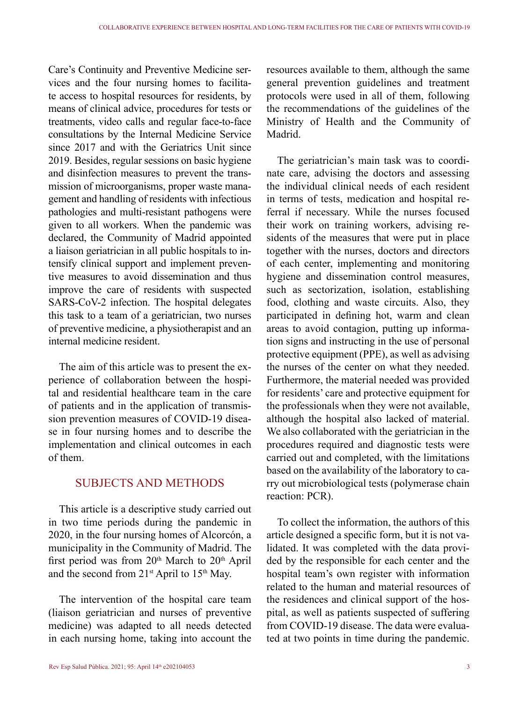Care's Continuity and Preventive Medicine services and the four nursing homes to facilitate access to hospital resources for residents, by means of clinical advice, procedures for tests or treatments, video calls and regular face-to-face consultations by the Internal Medicine Service since 2017 and with the Geriatrics Unit since 2019. Besides, regular sessions on basic hygiene and disinfection measures to prevent the transmission of microorganisms, proper waste management and handling of residents with infectious pathologies and multi-resistant pathogens were given to all workers. When the pandemic was declared, the Community of Madrid appointed a liaison geriatrician in all public hospitals to intensify clinical support and implement preventive measures to avoid dissemination and thus improve the care of residents with suspected SARS-CoV-2 infection. The hospital delegates this task to a team of a geriatrician, two nurses of preventive medicine, a physiotherapist and an internal medicine resident.

The aim of this article was to present the experience of collaboration between the hospital and residential healthcare team in the care of patients and in the application of transmission prevention measures of COVID-19 disease in four nursing homes and to describe the implementation and clinical outcomes in each of them.

# SUBJECTS AND METHODS

This article is a descriptive study carried out in two time periods during the pandemic in 2020, in the four nursing homes of Alcorcón, a municipality in the Community of Madrid. The first period was from  $20<sup>th</sup>$  March to  $20<sup>th</sup>$  April and the second from  $21^{st}$  April to  $15^{th}$  May.

The intervention of the hospital care team (liaison geriatrician and nurses of preventive medicine) was adapted to all needs detected in each nursing home, taking into account the

resources available to them, although the same general prevention guidelines and treatment protocols were used in all of them, following the recommendations of the guidelines of the Ministry of Health and the Community of Madrid.

The geriatrician's main task was to coordinate care, advising the doctors and assessing the individual clinical needs of each resident in terms of tests, medication and hospital referral if necessary. While the nurses focused their work on training workers, advising residents of the measures that were put in place together with the nurses, doctors and directors of each center, implementing and monitoring hygiene and dissemination control measures, such as sectorization, isolation, establishing food, clothing and waste circuits. Also, they participated in defining hot, warm and clean areas to avoid contagion, putting up information signs and instructing in the use of personal protective equipment (PPE), as well as advising the nurses of the center on what they needed. Furthermore, the material needed was provided for residents' care and protective equipment for the professionals when they were not available, although the hospital also lacked of material. We also collaborated with the geriatrician in the procedures required and diagnostic tests were carried out and completed, with the limitations based on the availability of the laboratory to carry out microbiological tests (polymerase chain reaction: PCR).

To collect the information, the authors of this article designed a specific form, but it is not validated. It was completed with the data provided by the responsible for each center and the hospital team's own register with information related to the human and material resources of the residences and clinical support of the hospital, as well as patients suspected of suffering from COVID-19 disease. The data were evaluated at two points in time during the pandemic.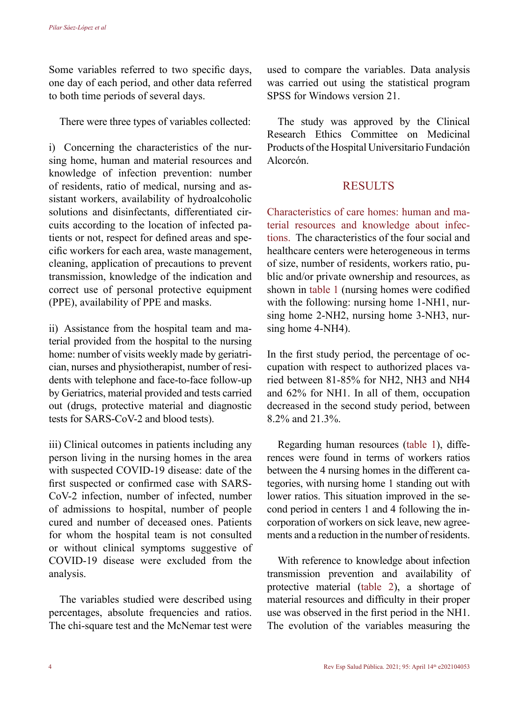Some variables referred to two specific days, one day of each period, and other data referred to both time periods of several days.

There were three types of variables collected:

i) Concerning the characteristics of the nursing home, human and material resources and knowledge of infection prevention: number of residents, ratio of medical, nursing and assistant workers, availability of hydroalcoholic solutions and disinfectants, differentiated circuits according to the location of infected patients or not, respect for defined areas and specific workers for each area, waste management, cleaning, application of precautions to prevent transmission, knowledge of the indication and correct use of personal protective equipment (PPE), availability of PPE and masks.

ii) Assistance from the hospital team and material provided from the hospital to the nursing home: number of visits weekly made by geriatrician, nurses and physiotherapist, number of residents with telephone and face-to-face follow-up by Geriatrics, material provided and tests carried out (drugs, protective material and diagnostic tests for SARS-CoV-2 and blood tests).

iii) Clinical outcomes in patients including any person living in the nursing homes in the area with suspected COVID-19 disease: date of the first suspected or confirmed case with SARS-CoV-2 infection, number of infected, number of admissions to hospital, number of people cured and number of deceased ones. Patients for whom the hospital team is not consulted or without clinical symptoms suggestive of COVID-19 disease were excluded from the analysis.

The variables studied were described using percentages, absolute frequencies and ratios. The chi-square test and the McNemar test were used to compare the variables. Data analysis was carried out using the statistical program SPSS for Windows version 21.

The study was approved by the Clinical Research Ethics Committee on Medicinal Products of the Hospital Universitario Fundación Alcorcón.

# **RESULTS**

Characteristics of care homes: human and material resources and knowledge about infections. The characteristics of the four social and healthcare centers were heterogeneous in terms of size, number of residents, workers ratio, public and/or private ownership and resources, as shown in table 1 (nursing homes were codified with the following: nursing home 1-NH1, nursing home 2-NH2, nursing home 3-NH3, nursing home 4-NH4).

In the first study period, the percentage of occupation with respect to authorized places varied between 81-85% for NH2, NH3 and NH4 and 62% for NH1. In all of them, occupation decreased in the second study period, between 8.2% and 21.3%.

Regarding human resources (table 1), differences were found in terms of workers ratios between the 4 nursing homes in the different categories, with nursing home 1 standing out with lower ratios. This situation improved in the second period in centers 1 and 4 following the incorporation of workers on sick leave, new agreements and a reduction in the number of residents.

With reference to knowledge about infection transmission prevention and availability of protective material (table 2), a shortage of material resources and difficulty in their proper use was observed in the first period in the NH1. The evolution of the variables measuring the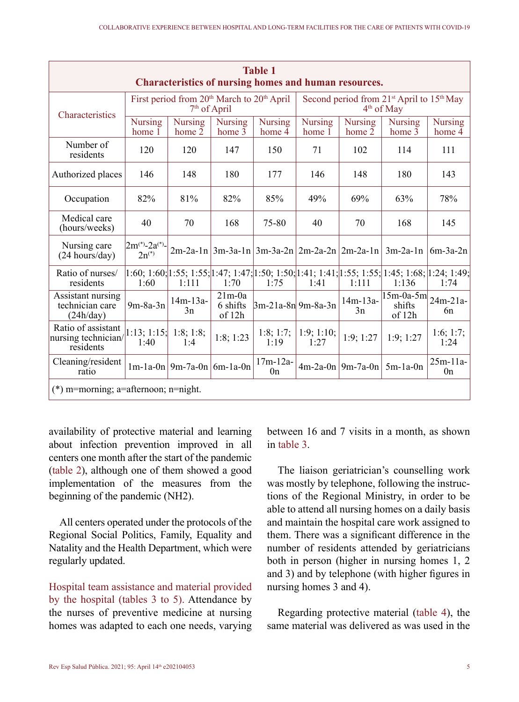| <b>Table 1</b><br><b>Characteristics of nursing homes and human resources.</b> |                                               |                                                |                                |                          |                                                                               |                          |                                                                                                                |                              |  |  |  |
|--------------------------------------------------------------------------------|-----------------------------------------------|------------------------------------------------|--------------------------------|--------------------------|-------------------------------------------------------------------------------|--------------------------|----------------------------------------------------------------------------------------------------------------|------------------------------|--|--|--|
| Characteristics                                                                |                                               | First period from $20th$ March to $20th$ April | 7 <sup>th</sup> of April       |                          | Second period from $21^{st}$ April to $15^{th}$ May<br>4 <sup>th</sup> of May |                          |                                                                                                                |                              |  |  |  |
|                                                                                | <b>Nursing</b><br>home 1                      | <b>Nursing</b><br>home 2                       | <b>Nursing</b><br>home 3       | <b>Nursing</b><br>home 4 | <b>Nursing</b><br>home 1                                                      | <b>Nursing</b><br>home 2 | <b>Nursing</b><br>home 3                                                                                       | <b>Nursing</b><br>home 4     |  |  |  |
| Number of<br>residents                                                         | 120                                           | 120                                            | 147                            | 150                      | 71                                                                            | 102                      | 114                                                                                                            | 111                          |  |  |  |
| Authorized places                                                              | 146                                           | 148                                            | 180                            | 177                      | 146                                                                           | 148                      | 180                                                                                                            | 143                          |  |  |  |
| Occupation                                                                     | 82%                                           | 81%                                            | 82%                            | 85%                      | 49%                                                                           | 69%                      | 63%                                                                                                            | 78%                          |  |  |  |
| Medical care<br>(hours/weeks)                                                  | 40                                            | 70                                             | 168                            | 75-80                    | 40                                                                            | 70                       | 168                                                                                                            | 145                          |  |  |  |
| Nursing care<br>$(24$ hours/day)                                               | $2m^{(*)}$ -2a <sup>(*)</sup> -<br>$2n^{(*)}$ |                                                |                                |                          |                                                                               |                          | 2m-2a-1n   3m-3a-1n   3m-3a-2n   2m-2a-2n   2m-2a-1n   3m-2a-1n                                                | $6m-3a-2n$                   |  |  |  |
| Ratio of nurses/<br>residents                                                  | 1:60                                          | 1:111                                          | 1:70                           | 1:75                     | 1:41                                                                          | 1:111                    | 1:60; 1:60; 1:55; 1:55; 1:47; 1:47; 1:47; 1:50; 1:50; 1:41; 1:41; 1:55; 1:55; 1:45; 1:68; 1:24; 1:49;<br>1:136 | 1:74                         |  |  |  |
| Assistant nursing<br>technician care<br>(24h/day)                              | $9m-8a-3n$                                    | $14m-13a-$<br>3n                               | $21m-0a$<br>6 shifts<br>of 12h | $3m-21a-8n$ 9m-8a-3n     |                                                                               | $14m-13a-$<br>3n         | $\sqrt{15m-0a-5m}$ 24m-21a-<br>shifts<br>of 12h                                                                | 6n                           |  |  |  |
| Ratio of assistant<br>nursing technician/<br>residents                         | $1:13:1:15$ :<br>1:40                         | 1:8; 1:8;<br>1:4                               | 1:8;1:23                       | 1:8; 1:7;<br>1:19        | 1:9; 1:10;<br>1:27                                                            | 1:9;1:27                 | 1:9;1:27                                                                                                       | 1:6; 1:7;<br>1:24            |  |  |  |
| Cleaning/resident<br>ratio                                                     |                                               | $1m-1a-0n$   9m-7a-0n   6m-1a-0n               |                                | $17m-12a-$<br>0n         |                                                                               | $4m-2a-0n$ 9m-7a-0n      | $5m-1a-0n$                                                                                                     | $25m-11a-$<br>0 <sub>n</sub> |  |  |  |
| $(*)$ m=morning; a=afternoon; n=night.                                         |                                               |                                                |                                |                          |                                                                               |                          |                                                                                                                |                              |  |  |  |

availability of protective material and learning about infection prevention improved in all centers one month after the start of the pandemic (table 2), although one of them showed a good implementation of the measures from the beginning of the pandemic (NH2).

All centers operated under the protocols of the Regional Social Politics, Family, Equality and Natality and the Health Department, which were regularly updated.

Hospital team assistance and material provided by the hospital (tables 3 to 5). Attendance by the nurses of preventive medicine at nursing homes was adapted to each one needs, varying between 16 and 7 visits in a month, as shown in table 3.

The liaison geriatrician's counselling work was mostly by telephone, following the instructions of the Regional Ministry, in order to be able to attend all nursing homes on a daily basis and maintain the hospital care work assigned to them. There was a significant difference in the number of residents attended by geriatricians both in person (higher in nursing homes 1, 2 and 3) and by telephone (with higher figures in nursing homes 3 and 4).

Regarding protective material (table 4), the same material was delivered as was used in the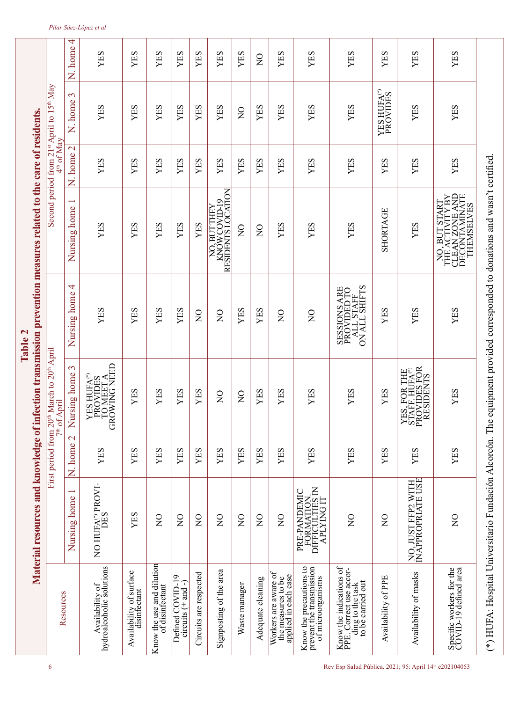|                                                                                                                            |                                                                                             |                                     |                                                                                                | Table 2                                                                                                             | Material resources and knowledge of infection transmission prevention measures related to the care of residents. |                     |                                                     |                |
|----------------------------------------------------------------------------------------------------------------------------|---------------------------------------------------------------------------------------------|-------------------------------------|------------------------------------------------------------------------------------------------|---------------------------------------------------------------------------------------------------------------------|------------------------------------------------------------------------------------------------------------------|---------------------|-----------------------------------------------------|----------------|
| Resources                                                                                                                  |                                                                                             |                                     | First period from 20 <sup>th</sup> March to 20 <sup>th</sup> April<br>7 <sup>th</sup> of April |                                                                                                                     |                                                                                                                  | $4^{\rm th}$ of Mav | Second period from $21^{st}$ April to $15^{th}$ May |                |
|                                                                                                                            | Nursing home 1                                                                              | $\overline{\mathcal{C}}$<br>N. home | Nursing home 3                                                                                 | Nursing home 4                                                                                                      | Nursing home                                                                                                     | N. home 2           | 3<br>N. home                                        | 4<br>N. home   |
| Availability of<br>hydroalcoholic solutions                                                                                | NO HUFA <sup>(*)</sup> PROVI-<br>DES                                                        | YES                                 | YES HUFA(*)<br>PROVIDES<br>TO MEET A<br>GROWING NEED                                           | YES                                                                                                                 | YES                                                                                                              | YES                 | YES                                                 | YES            |
| Availability of surface<br>disinfectant                                                                                    | $\mathop{\hbox{\rm ES}}$<br>≻                                                               | YES                                 | YES                                                                                            | YES                                                                                                                 | YES                                                                                                              | YES                 | YES                                                 | YES            |
| Know the use and dilution<br>of disinfectant                                                                               | $\overline{Q}$                                                                              | YES                                 | YES                                                                                            | YES                                                                                                                 | YES                                                                                                              | YES                 | <b>XES</b>                                          | YES            |
| Defined COVID-19<br>circuits $(+$ and -)                                                                                   | $\overline{Q}$                                                                              | YES                                 | YES                                                                                            | YES                                                                                                                 | YES                                                                                                              | YES                 | YES                                                 | YES            |
| Circuits are respected                                                                                                     | $\overline{Q}$                                                                              | YES                                 | YES                                                                                            | $\overline{S}$                                                                                                      | YES                                                                                                              | YES                 | YES                                                 | YES            |
| Signposting of the area                                                                                                    | $\widetilde{z}$                                                                             | YES                                 | $\overline{Q}$                                                                                 | $\overline{Q}$                                                                                                      | NO, BUTTHEY<br>KNOW COVID-19<br>RESIDENTS LOCATION                                                               | YES                 | YES                                                 | YES            |
| Waste manager                                                                                                              | $\overline{Q}$                                                                              | YES                                 | $\overline{Q}$                                                                                 | YES                                                                                                                 | $\mathsf{S}^{\mathsf{O}}$                                                                                        | YES                 | $\overline{S}$                                      | YES            |
| Adequate cleaning                                                                                                          | $\widetilde{z}$                                                                             | YES                                 | YES                                                                                            | YES                                                                                                                 | $\frac{1}{2}$                                                                                                    | YES                 | YES                                                 | $\overline{S}$ |
| Workers are aware of<br>the measures to be<br>applied in each case                                                         | $\frac{1}{2}$                                                                               | YES                                 | YES                                                                                            | $_{\rm Z}^{\rm O}$                                                                                                  | YES                                                                                                              | YES                 | YES                                                 | YES            |
| Know the precautions to<br>prevent the transmission<br>of microorganisms                                                   | AATION<br>ULTIES IN<br>ANG IT<br>PRE-PANDEMIC<br>FORMATION<br>DIFFICULTIES IN<br>APLYING IT | YES                                 | YES                                                                                            | $\frac{1}{2}$                                                                                                       | YES                                                                                                              | YES                 | YES                                                 | YES            |
| $[Know the indications ofPE. Correct use accor-ding to the taskto be carried out]$                                         | $\overline{S}$                                                                              | YES                                 | YES                                                                                            | $\begin{array}{c} \text{SESSIONS ARE} \\ \text{PROVIDED TO} \\ \text{ALL STATE} \\ \text{ON ALL SIAFF} \end{array}$ | YES                                                                                                              | YES                 | YES                                                 | YES            |
| Availability of PPE                                                                                                        | $\frac{1}{2}$                                                                               | YES                                 | YES                                                                                            | YES                                                                                                                 | <b>SHORTAGE</b>                                                                                                  | YES                 | <b>YES HUFA<sup>®</sup></b><br>PROVIDES             | YES            |
| Availability of masks                                                                                                      | NO, JUST FFP2 WITH<br>INAPPROPRIATE USE                                                     | YES                                 | YES, FOR THE STAFF. HUFA $^\circ$ PROVIDES FOR RESIDENTS                                       | YES                                                                                                                 | YES                                                                                                              | YES                 | YES                                                 | YES            |
| Specific workers for the<br>COVID-19 defined area                                                                          | $\widetilde{z}$                                                                             | YES                                 | YES                                                                                            | YES                                                                                                                 | NO, BUT START<br>THE ACTIVITY BY<br>CLEAN ZONE AND<br>DECONTAMINATE<br>THEMSELVES                                | YES                 | YES                                                 | YES            |
| (*) HUFA: Hospital Universitario Fundación Alcorcón. The equipment provided corresponded to donations and wasn't certified |                                                                                             |                                     |                                                                                                |                                                                                                                     |                                                                                                                  |                     |                                                     |                |

#### *Pilar Sáez-López et al*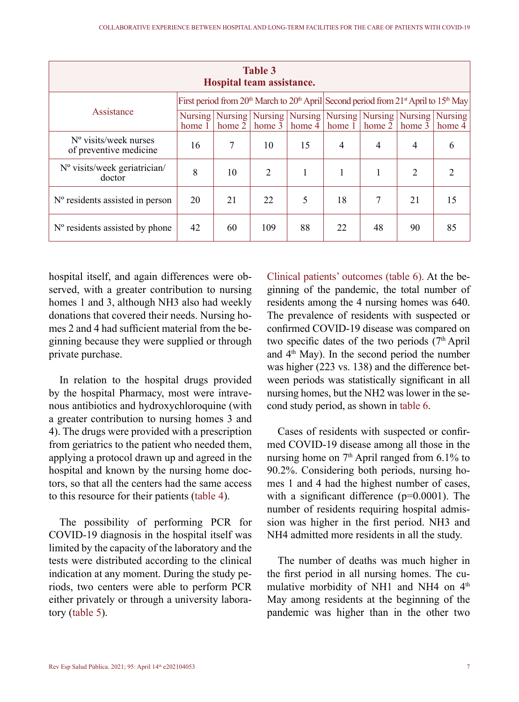| Table 3<br>Hospital team assistance.                     |        |        |                                                                                              |           |        |          |                                                             |                |  |  |  |
|----------------------------------------------------------|--------|--------|----------------------------------------------------------------------------------------------|-----------|--------|----------|-------------------------------------------------------------|----------------|--|--|--|
|                                                          |        |        | First period from $20th$ March to $20th$ April Second period from $21st$ April to $15th$ May |           |        |          |                                                             |                |  |  |  |
| Assistance                                               | home 1 | home 2 | Nursing   Nursing   Nursing  <br>home $3$                                                    | home $4 $ | home 1 | home $2$ | Nursing   Nursing   Nursing   Nursing   Nursing  <br>home 3 | home $4$       |  |  |  |
| $N^{\circ}$ visits/week nurses<br>of preventive medicine | 16     | 7      | 10                                                                                           | 15        | 4      | 4        | $\overline{4}$                                              | 6              |  |  |  |
| $No$ visits/week geriatrician/<br>doctor                 | 8      | 10     | 2                                                                                            | 1         |        |          | 2                                                           | $\mathfrak{D}$ |  |  |  |
| $No$ residents assisted in person                        | 20     | 21     | 22.                                                                                          | 5         | 18     | 7        | 2.1                                                         | 15             |  |  |  |
| $No$ residents assisted by phone                         | 42     | 60     | 109                                                                                          | 88        | 22     | 48       | 90                                                          | 85             |  |  |  |

hospital itself, and again differences were observed, with a greater contribution to nursing homes 1 and 3, although NH3 also had weekly donations that covered their needs. Nursing homes 2 and 4 had sufficient material from the beginning because they were supplied or through private purchase.

In relation to the hospital drugs provided by the hospital Pharmacy, most were intravenous antibiotics and hydroxychloroquine (with a greater contribution to nursing homes 3 and 4). The drugs were provided with a prescription from geriatrics to the patient who needed them, applying a protocol drawn up and agreed in the hospital and known by the nursing home doctors, so that all the centers had the same access to this resource for their patients (table 4).

The possibility of performing PCR for COVID-19 diagnosis in the hospital itself was limited by the capacity of the laboratory and the tests were distributed according to the clinical indication at any moment. During the study periods, two centers were able to perform PCR either privately or through a university laboratory (table 5).

Clinical patients' outcomes (table 6). At the beginning of the pandemic, the total number of residents among the 4 nursing homes was 640. The prevalence of residents with suspected or confirmed COVID-19 disease was compared on two specific dates of the two periods  $(7<sup>th</sup>$  April and  $4<sup>th</sup>$  May). In the second period the number was higher (223 vs. 138) and the difference between periods was statistically significant in all nursing homes, but the NH2 was lower in the second study period, as shown in table 6.

Cases of residents with suspected or confirmed COVID-19 disease among all those in the nursing home on  $7<sup>th</sup>$  April ranged from 6.1% to 90.2%. Considering both periods, nursing homes 1 and 4 had the highest number of cases, with a significant difference (p=0.0001). The number of residents requiring hospital admission was higher in the first period. NH3 and NH4 admitted more residents in all the study.

The number of deaths was much higher in the first period in all nursing homes. The cumulative morbidity of NH1 and NH4 on  $4<sup>th</sup>$ May among residents at the beginning of the pandemic was higher than in the other two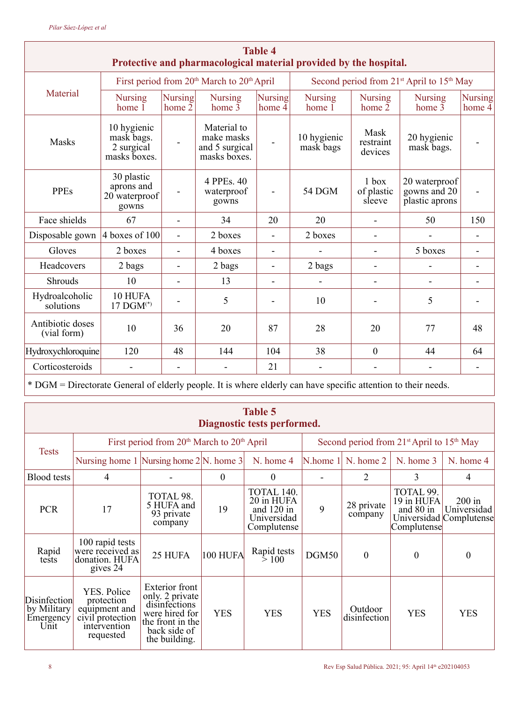| <b>Table 4</b><br>Protective and pharmacological material provided by the hospital. |                                                         |                          |                                                                    |                          |                                                                   |                                 |                                                 |                          |  |  |  |  |
|-------------------------------------------------------------------------------------|---------------------------------------------------------|--------------------------|--------------------------------------------------------------------|--------------------------|-------------------------------------------------------------------|---------------------------------|-------------------------------------------------|--------------------------|--|--|--|--|
|                                                                                     |                                                         |                          | First period from 20 <sup>th</sup> March to 20 <sup>th</sup> April |                          | Second period from 21 <sup>st</sup> April to 15 <sup>th</sup> May |                                 |                                                 |                          |  |  |  |  |
| Material                                                                            | <b>Nursing</b><br>home $1$                              | Nursing<br>home 2        | <b>Nursing</b><br>home $3$                                         | Nursing<br>home 4        | <b>Nursing</b><br>home $1$                                        | <b>Nursing</b><br>home $2$      | <b>Nursing</b><br>home $3$                      | <b>Nursing</b><br>home 4 |  |  |  |  |
| Masks                                                                               | 10 hygienic<br>mask bags.<br>2 surgical<br>masks boxes. |                          | Material to<br>make masks<br>and 5 surgical<br>masks boxes.        | $\overline{\phantom{m}}$ | 10 hygienic<br>mask bags                                          | Mask<br>restraint<br>devices    | 20 hygienic<br>mask bags.                       |                          |  |  |  |  |
| <b>PPEs</b>                                                                         | 30 plastic<br>aprons and<br>20 waterproof<br>gowns      |                          | 4 PPEs. 40<br>waterproof<br>gowns                                  | $\overline{a}$           | 54 DGM                                                            | $1$ box<br>of plastic<br>sleeve | 20 waterproof<br>gowns and 20<br>plastic aprons |                          |  |  |  |  |
| Face shields                                                                        | 67                                                      | $\blacksquare$           | 34                                                                 | 20                       | 20                                                                |                                 | 50                                              | 150                      |  |  |  |  |
| Disposable gown                                                                     | 4 hoxes of 100                                          | $\blacksquare$           | 2 boxes                                                            | $\blacksquare$           | 2 boxes                                                           |                                 | $\overline{\phantom{0}}$                        |                          |  |  |  |  |
| Gloves                                                                              | 2 boxes                                                 | $\blacksquare$           | 4 boxes                                                            | $\overline{a}$           |                                                                   |                                 | 5 boxes                                         |                          |  |  |  |  |
| Headcovers                                                                          | 2 bags                                                  | $\overline{\phantom{a}}$ | 2 bags                                                             | $\overline{\phantom{a}}$ | 2 bags                                                            |                                 | $\overline{a}$                                  |                          |  |  |  |  |
| <b>Shrouds</b>                                                                      | 10                                                      | $\blacksquare$           | 13                                                                 | $\overline{a}$           |                                                                   |                                 | $\overline{\phantom{0}}$                        |                          |  |  |  |  |
| Hydroalcoholic<br>solutions                                                         | 10 HUFA<br>$17 \text{ DGM}^{(*)}$                       |                          | 5                                                                  |                          | 10                                                                |                                 | 5                                               |                          |  |  |  |  |
| Antibiotic doses<br>(vial form)                                                     | 10                                                      | 36                       | 20                                                                 | 87                       | 28                                                                | 20                              | 77                                              | 48                       |  |  |  |  |
| Hydroxychloroquine                                                                  | 120                                                     | 48                       | 144                                                                | 104                      | 38                                                                | $\theta$                        | 44                                              | 64                       |  |  |  |  |
| Corticosteroids                                                                     |                                                         |                          |                                                                    | 21                       |                                                                   |                                 |                                                 |                          |  |  |  |  |

\* DGM = Directorate General of elderly people. It is where elderly can have specific attention to their needs.

| Table 5<br>Diagnostic tests performed.           |                                                                                             |                                                                                                                                  |            |                                                                        |            |                                           |                                                     |                                                    |  |  |
|--------------------------------------------------|---------------------------------------------------------------------------------------------|----------------------------------------------------------------------------------------------------------------------------------|------------|------------------------------------------------------------------------|------------|-------------------------------------------|-----------------------------------------------------|----------------------------------------------------|--|--|
| <b>Tests</b>                                     |                                                                                             | First period from $20th$ March to $20th$ April                                                                                   |            |                                                                        |            |                                           | Second period from $21st$ April to $15th$ May       |                                                    |  |  |
|                                                  | Nursing home $1$  Nursing home $2$  N. home $3$                                             |                                                                                                                                  |            | N. home 4                                                              |            | $\mathbb{N}$ .home 1 $\mathbb{N}$ .home 2 | N. home 3                                           | N. home 4                                          |  |  |
| <b>Blood</b> tests                               | 4                                                                                           |                                                                                                                                  | $\theta$   | $\theta$                                                               |            | $\overline{c}$                            | 3                                                   | $\overline{4}$                                     |  |  |
| <b>PCR</b>                                       | 17                                                                                          | TOTAL 98.<br>5 HUFA and<br>93 private<br>company                                                                                 | 19         | TOTAL 140.<br>20 in HUFA<br>and $120$ in<br>Universidad<br>Complutense | 9          | 28 private<br>company                     | TOTAL 99.<br>19 in HUFA<br>and 80 in<br>Complutense | $200$ in<br>Universidad<br>Universidad Complutense |  |  |
| Rapid<br>tests                                   | 100 rapid tests<br>were received as<br>donation. HUFA<br>gives 24                           | 25 HUFA                                                                                                                          | 100 HUFA   | Rapid tests<br>$\geq 100$                                              | DGM50      | $\theta$                                  | $\theta$                                            | $\theta$                                           |  |  |
| Disinfection<br>by Military<br>Emergency<br>Unit | YES. Police<br>protection<br>equipment and<br>civil protection<br>intervention<br>requested | <b>Exterior</b> front<br>only. 2 private<br>disinfections<br>were hired for<br>the front in the<br>back side of<br>the building. | <b>YES</b> | <b>YES</b>                                                             | <b>YES</b> | Outdoor<br>disinfection                   | <b>YES</b>                                          | <b>YES</b>                                         |  |  |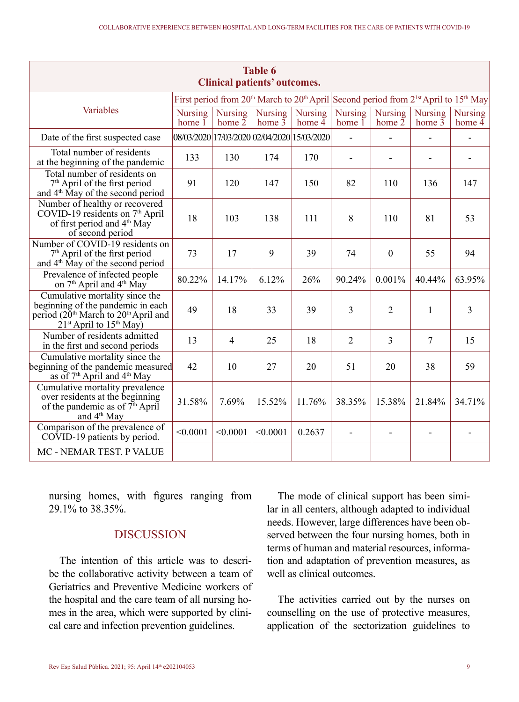| Table 6<br>Clinical patients' outcomes.                                                                                                                            |                                             |                            |                                                                                                                                      |                            |                            |                            |                          |                                       |  |  |
|--------------------------------------------------------------------------------------------------------------------------------------------------------------------|---------------------------------------------|----------------------------|--------------------------------------------------------------------------------------------------------------------------------------|----------------------------|----------------------------|----------------------------|--------------------------|---------------------------------------|--|--|
|                                                                                                                                                                    |                                             |                            | First period from 20 <sup>th</sup> March to 20 <sup>th</sup> April Second period from 2 <sup>1st</sup> April to 15 <sup>th</sup> May |                            |                            |                            |                          |                                       |  |  |
| Variables                                                                                                                                                          | <b>Nursing</b><br>home $1$                  | <b>Nursing</b><br>home $2$ | <b>Nursing</b><br>home $\overline{3}$                                                                                                | <b>Nursing</b><br>home $4$ | <b>Nursing</b><br>home $1$ | <b>Nursing</b><br>home $2$ | Nursing<br>home $3$      | <b>Nursing</b><br>home $\overline{4}$ |  |  |
| Date of the first suspected case                                                                                                                                   | 08/03/2020 17/03/2020 02/04/2020 15/03/2020 |                            |                                                                                                                                      |                            | $\blacksquare$             |                            |                          |                                       |  |  |
| Total number of residents<br>at the beginning of the pandemic                                                                                                      | 133                                         | 130                        | 174                                                                                                                                  | 170                        | $\blacksquare$             | $\overline{\phantom{m}}$   | $\overline{\phantom{0}}$ | $\overline{\phantom{a}}$              |  |  |
| Total number of residents on<br>$7th$ April of the first period<br>and 4 <sup>th</sup> May of the second period                                                    | 91                                          | 120                        | 147                                                                                                                                  | 150                        | 82                         | 110                        | 136                      | 147                                   |  |  |
| Number of healthy or recovered<br>COVID-19 residents on 7 <sup>th</sup> April<br>of first period and 4 <sup>th</sup> May<br>of second period                       | 18                                          | 103                        | 138                                                                                                                                  | 111                        | 8                          | 110                        | 81                       | 53                                    |  |  |
| Number of COVID-19 residents on<br>7 <sup>th</sup> April of the first period<br>and 4 <sup>th</sup> May of the second period                                       | 73                                          | 17                         | 9                                                                                                                                    | 39                         | 74                         | $\Omega$                   | 55                       | 94                                    |  |  |
| Prevalence of infected people<br>on 7 <sup>th</sup> April and 4 <sup>th</sup> May                                                                                  | 80.22%                                      | 14.17%                     | 6.12%                                                                                                                                | 26%                        | 90.24%                     | 0.001%                     | 40.44%                   | 63.95%                                |  |  |
| Cumulative mortality since the<br>beginning of the pandemic in each<br>period (20 <sup>th</sup> March to 20 <sup>th</sup> April and<br>$21st$ April to $15th$ May) | 49                                          | 18                         | 33                                                                                                                                   | 39                         | 3                          | 2                          | 1                        | 3                                     |  |  |
| Number of residents admitted<br>in the first and second periods                                                                                                    | 13                                          | $\overline{4}$             | 25                                                                                                                                   | 18                         | $\overline{c}$             | 3                          | $\tau$                   | 15                                    |  |  |
| Cumulative mortality since the<br>beginning of the pandemic measured<br>as of 7 <sup>th</sup> April and 4 <sup>th</sup> May                                        | 42                                          | 10                         | 27                                                                                                                                   | 20                         | 51                         | 20                         | 38                       | 59                                    |  |  |
| Cumulative mortality prevalence<br>over residents at the beginning<br>of the pandemic as of $7th$ April<br>and 4 <sup>th</sup> May                                 | 31.58%                                      | 7.69%                      | 15.52%                                                                                                                               | 11.76%                     | 38.35%                     | 15.38%                     | 21.84%                   | 34.71%                                |  |  |
| Comparison of the prevalence of<br>$CO$ VID-19 patients by period.                                                                                                 | < 0.0001                                    | < 0.0001                   | < 0.0001                                                                                                                             | 0.2637                     |                            |                            |                          |                                       |  |  |
| MC - NEMAR TEST. P VALUE                                                                                                                                           |                                             |                            |                                                                                                                                      |                            |                            |                            |                          |                                       |  |  |

nursing homes, with figures ranging from 29.1% to 38.35%.

## **DISCUSSION**

The intention of this article was to describe the collaborative activity between a team of Geriatrics and Preventive Medicine workers of the hospital and the care team of all nursing homes in the area, which were supported by clinical care and infection prevention guidelines.

The mode of clinical support has been similar in all centers, although adapted to individual needs. However, large differences have been observed between the four nursing homes, both in terms of human and material resources, information and adaptation of prevention measures, as well as clinical outcomes.

The activities carried out by the nurses on counselling on the use of protective measures, application of the sectorization guidelines to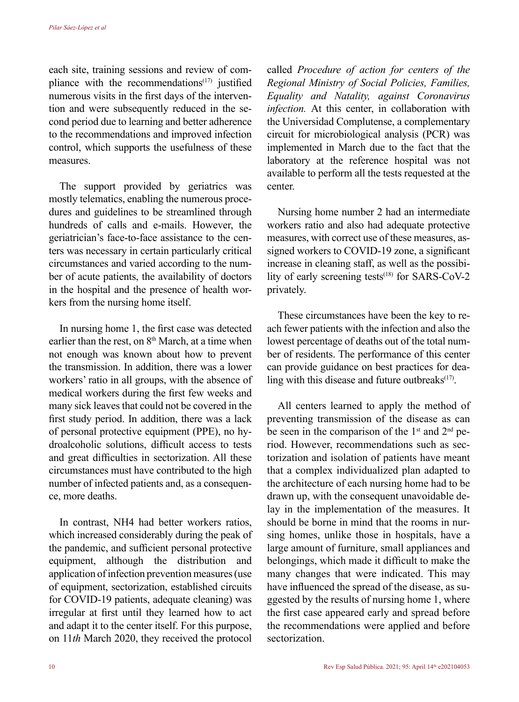each site, training sessions and review of compliance with the recommendations $(17)$  justified numerous visits in the first days of the intervention and were subsequently reduced in the second period due to learning and better adherence to the recommendations and improved infection control, which supports the usefulness of these measures.

The support provided by geriatrics was mostly telematics, enabling the numerous procedures and guidelines to be streamlined through hundreds of calls and e-mails. However, the geriatrician's face-to-face assistance to the centers was necessary in certain particularly critical circumstances and varied according to the number of acute patients, the availability of doctors in the hospital and the presence of health workers from the nursing home itself.

In nursing home 1, the first case was detected earlier than the rest, on  $8<sup>th</sup>$  March, at a time when not enough was known about how to prevent the transmission. In addition, there was a lower workers' ratio in all groups, with the absence of medical workers during the first few weeks and many sick leaves that could not be covered in the first study period. In addition, there was a lack of personal protective equipment (PPE), no hydroalcoholic solutions, difficult access to tests and great difficulties in sectorization. All these circumstances must have contributed to the high number of infected patients and, as a consequence, more deaths.

In contrast, NH4 had better workers ratios, which increased considerably during the peak of the pandemic, and sufficient personal protective equipment, although the distribution and application of infection prevention measures (use of equipment, sectorization, established circuits for COVID-19 patients, adequate cleaning) was irregular at first until they learned how to act and adapt it to the center itself. For this purpose, on 11*th* March 2020, they received the protocol

called *Procedure of action for centers of the Regional Ministry of Social Policies, Families, Equality and Natality, against Coronavirus infection.* At this center, in collaboration with the Universidad Complutense, a complementary circuit for microbiological analysis (PCR) was implemented in March due to the fact that the laboratory at the reference hospital was not available to perform all the tests requested at the center.

Nursing home number 2 had an intermediate workers ratio and also had adequate protective measures, with correct use of these measures, assigned workers to COVID-19 zone, a significant increase in cleaning staff, as well as the possibility of early screening tests $(18)$  for SARS-CoV-2 privately.

These circumstances have been the key to reach fewer patients with the infection and also the lowest percentage of deaths out of the total number of residents. The performance of this center can provide guidance on best practices for dealing with this disease and future outbreaks $(17)$ .

All centers learned to apply the method of preventing transmission of the disease as can be seen in the comparison of the  $1<sup>st</sup>$  and  $2<sup>nd</sup>$  period. However, recommendations such as sectorization and isolation of patients have meant that a complex individualized plan adapted to the architecture of each nursing home had to be drawn up, with the consequent unavoidable delay in the implementation of the measures. It should be borne in mind that the rooms in nursing homes, unlike those in hospitals, have a large amount of furniture, small appliances and belongings, which made it difficult to make the many changes that were indicated. This may have influenced the spread of the disease, as suggested by the results of nursing home 1, where the first case appeared early and spread before the recommendations were applied and before sectorization.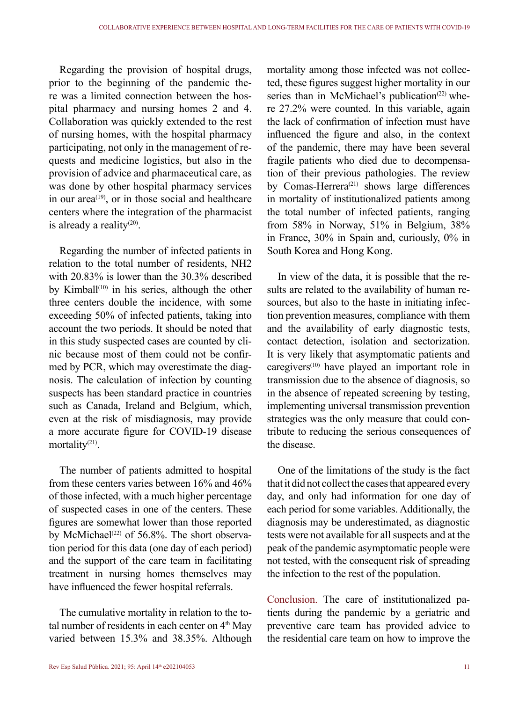Regarding the provision of hospital drugs, prior to the beginning of the pandemic there was a limited connection between the hospital pharmacy and nursing homes 2 and 4. Collaboration was quickly extended to the rest of nursing homes, with the hospital pharmacy participating, not only in the management of requests and medicine logistics, but also in the provision of advice and pharmaceutical care, as was done by other hospital pharmacy services in our area<sup> $(19)$ </sup>, or in those social and healthcare centers where the integration of the pharmacist is already a reality<sup>(20)</sup>.

Regarding the number of infected patients in relation to the total number of residents, NH2 with 20.83% is lower than the 30.3% described by Kimball<sup> $(10)$ </sup> in his series, although the other three centers double the incidence, with some exceeding 50% of infected patients, taking into account the two periods. It should be noted that in this study suspected cases are counted by clinic because most of them could not be confirmed by PCR, which may overestimate the diagnosis. The calculation of infection by counting suspects has been standard practice in countries such as Canada, Ireland and Belgium, which, even at the risk of misdiagnosis, may provide a more accurate figure for COVID-19 disease mortality(21).

The number of patients admitted to hospital from these centers varies between 16% and 46% of those infected, with a much higher percentage of suspected cases in one of the centers. These figures are somewhat lower than those reported by McMichael<sup>(22)</sup> of 56.8%. The short observation period for this data (one day of each period) and the support of the care team in facilitating treatment in nursing homes themselves may have influenced the fewer hospital referrals.

The cumulative mortality in relation to the total number of residents in each center on  $4<sup>th</sup>$  May varied between 15.3% and 38.35%. Although

mortality among those infected was not collected, these figures suggest higher mortality in our series than in McMichael's publication<sup> $(22)$ </sup> where 27.2% were counted. In this variable, again the lack of confirmation of infection must have influenced the figure and also, in the context of the pandemic, there may have been several fragile patients who died due to decompensation of their previous pathologies. The review by Comas-Herrera<sup>(21)</sup> shows large differences in mortality of institutionalized patients among the total number of infected patients, ranging from 58% in Norway, 51% in Belgium, 38% in France, 30% in Spain and, curiously, 0% in South Korea and Hong Kong.

In view of the data, it is possible that the results are related to the availability of human resources, but also to the haste in initiating infection prevention measures, compliance with them and the availability of early diagnostic tests, contact detection, isolation and sectorization. It is very likely that asymptomatic patients and caregivers $(10)$  have played an important role in transmission due to the absence of diagnosis, so in the absence of repeated screening by testing, implementing universal transmission prevention strategies was the only measure that could contribute to reducing the serious consequences of the disease.

One of the limitations of the study is the fact that it did not collect the cases that appeared every day, and only had information for one day of each period for some variables. Additionally, the diagnosis may be underestimated, as diagnostic tests were not available for all suspects and at the peak of the pandemic asymptomatic people were not tested, with the consequent risk of spreading the infection to the rest of the population.

Conclusion. The care of institutionalized patients during the pandemic by a geriatric and preventive care team has provided advice to the residential care team on how to improve the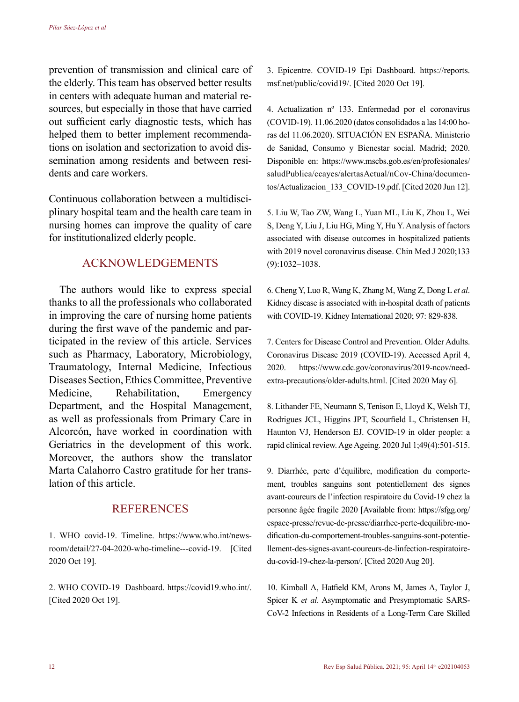prevention of transmission and clinical care of the elderly. This team has observed better results in centers with adequate human and material resources, but especially in those that have carried out sufficient early diagnostic tests, which has helped them to better implement recommendations on isolation and sectorization to avoid dissemination among residents and between residents and care workers.

Continuous collaboration between a multidisciplinary hospital team and the health care team in nursing homes can improve the quality of care for institutionalized elderly people.

### ACKNOWLEDGEMENTS

The authors would like to express special thanks to all the professionals who collaborated in improving the care of nursing home patients during the first wave of the pandemic and participated in the review of this article. Services such as Pharmacy, Laboratory, Microbiology, Traumatology, Internal Medicine, Infectious Diseases Section, Ethics Committee, Preventive Medicine, Rehabilitation, Emergency Department, and the Hospital Management, as well as professionals from Primary Care in Alcorcón, have worked in coordination with Geriatrics in the development of this work. Moreover, the authors show the translator Marta Calahorro Castro gratitude for her translation of this article.

## **REFERENCES**

1. WHO covid-19. Timeline. https://www.who.int/newsroom/detail/27-04-2020-who-timeline---covid-19. [Cited 2020 Oct 19].

2. WHO COVID-19 Dashboard. https://covid19.who.int/. [Cited 2020 Oct 19].

3. Epicentre. COVID-19 Epi Dashboard. https://reports. msf.net/public/covid19/. [Cited 2020 Oct 19].

4. Actualization nº 133. Enfermedad por el coronavirus (COVID-19). 11.06.2020 (datos consolidados a las 14:00 horas del 11.06.2020). SITUACIÓN EN ESPAÑA. Ministerio de Sanidad, Consumo y Bienestar social. Madrid; 2020. Disponible en: https://www.mscbs.gob.es/en/profesionales/ saludPublica/ccayes/alertasActual/nCov-China/documentos/Actualizacion\_133\_COVID-19.pdf. [Cited 2020 Jun 12].

5. Liu W, Tao ZW, Wang L, Yuan ML, Liu K, Zhou L, Wei S, Deng Y, Liu J, Liu HG, Ming Y, Hu Y. Analysis of factors associated with disease outcomes in hospitalized patients with 2019 novel coronavirus disease. Chin Med J 2020;133 (9):1032–1038.

6. Cheng Y, Luo R, Wang K, Zhang M, Wang Z, Dong L *et al*. Kidney disease is associated with in-hospital death of patients with COVID-19. Kidney International 2020; 97: 829-838.

7. Centers for Disease Control and Prevention. Older Adults. Coronavirus Disease 2019 (COVID-19). Accessed April 4, 2020. https://www.cdc.gov/coronavirus/2019-ncov/needextra-precautions/older-adults.html. [Cited 2020 May 6].

8. Lithander FE, Neumann S, Tenison E, Lloyd K, Welsh TJ, Rodrigues JCL, Higgins JPT, Scourfield L, Christensen H, Haunton VJ, Henderson EJ. COVID-19 in older people: a rapid clinical review. Age Ageing. 2020 Jul 1;49(4):501-515.

9. Diarrhée, perte d'équilibre, modification du comportement, troubles sanguins sont potentiellement des signes avant-coureurs de l'infection respiratoire du Covid-19 chez la personne âgée fragile 2020 [Available from: https://sfgg.org/ espace-presse/revue-de-presse/diarrhee-perte-dequilibre-modification-du-comportement-troubles-sanguins-sont-potentiellement-des-signes-avant-coureurs-de-linfection-respiratoiredu-covid-19-chez-la-person/. [Cited 2020 Aug 20].

10. Kimball A, Hatfield KM, Arons M, James A, Taylor J, Spicer K *et al*. Asymptomatic and Presymptomatic SARS-CoV-2 Infections in Residents of a Long-Term Care Skilled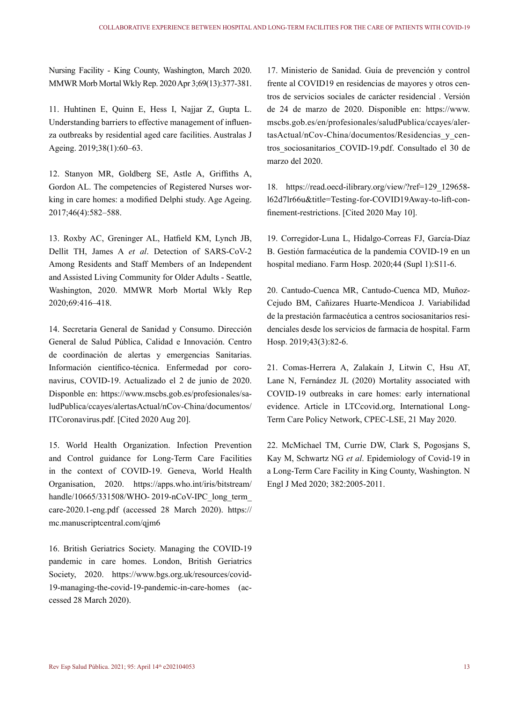Nursing Facility - King County, Washington, March 2020. MMWR Morb Mortal Wkly Rep. 2020 Apr 3;69(13):377-381.

11. Huhtinen E, Quinn E, Hess I, Najjar Z, Gupta L. Understanding barriers to effective management of influenza outbreaks by residential aged care facilities. Australas J Ageing. 2019;38(1):60–63.

12. Stanyon MR, Goldberg SE, Astle A, Griffiths A, Gordon AL. The competencies of Registered Nurses working in care homes: a modified Delphi study. Age Ageing. 2017;46(4):582–588.

13. Roxby AC, Greninger AL, Hatfield KM, Lynch JB, Dellit TH, James A *et al*. Detection of SARS-CoV-2 Among Residents and Staff Members of an Independent and Assisted Living Community for Older Adults - Seattle, Washington, 2020. MMWR Morb Mortal Wkly Rep 2020;69:416–418.

14. Secretaria General de Sanidad y Consumo. Dirección General de Salud Pública, Calidad e Innovación. Centro de coordinación de alertas y emergencias Sanitarias. Información científico-técnica. Enfermedad por coronavirus, COVID-19. Actualizado el 2 de junio de 2020. Disponble en: https://www.mscbs.gob.es/profesionales/saludPublica/ccayes/alertasActual/nCov-China/documentos/ ITCoronavirus.pdf. [Cited 2020 Aug 20].

15. World Health Organization. Infection Prevention and Control guidance for Long-Term Care Facilities in the context of COVID-19. Geneva, World Health Organisation, 2020. https://apps.who.int/iris/bitstream/ handle/10665/331508/WHO- 2019-nCoV-IPC\_long\_term\_ care-2020.1-eng.pdf (accessed 28 March 2020). https:// mc.manuscriptcentral.com/qjm6

16. British Geriatrics Society. Managing the COVID-19 pandemic in care homes. London, British Geriatrics Society, 2020. https://www.bgs.org.uk/resources/covid-19-managing-the-covid-19-pandemic-in-care-homes (accessed 28 March 2020).

17. Ministerio de Sanidad. Guía de prevención y control frente al COVID19 en residencias de mayores y otros centros de servicios sociales de carácter residencial . Versión de 24 de marzo de 2020. Disponible en: https://www. mscbs.gob.es/en/profesionales/saludPublica/ccayes/alertasActual/nCov-China/documentos/Residencias\_y\_centros\_sociosanitarios\_COVID-19.pdf. Consultado el 30 de marzo del 2020.

18. https://read.oecd-ilibrary.org/view/?ref=129\_129658 l62d7lr66u&title=Testing-for-COVID19Away-to-lift-confinement-restrictions. [Cited 2020 May 10].

19. Corregidor-Luna L, Hidalgo-Correas FJ, García-Díaz B. Gestión farmacéutica de la pandemia COVID-19 en un hospital mediano. Farm Hosp. 2020;44 (Supl 1):S11-6.

20. Cantudo-Cuenca MR, Cantudo-Cuenca MD, Muñoz-Cejudo BM, Cañizares Huarte-Mendicoa J. Variabilidad de la prestación farmacéutica a centros sociosanitarios residenciales desde los servicios de farmacia de hospital. Farm Hosp. 2019;43(3):82-6.

21. Comas-Herrera A, Zalakaín J, Litwin C, Hsu AT, Lane N, Fernández JL (2020) Mortality associated with COVID-19 outbreaks in care homes: early international evidence. Article in LTCcovid.org, International Long-Term Care Policy Network, CPEC-LSE, 21 May 2020.

22. McMichael TM, Currie DW, Clark S, Pogosjans S, Kay M, Schwartz NG *et al*. Epidemiology of Covid-19 in a Long-Term Care Facility in King County, Washington. N Engl J Med 2020; 382:2005-2011.